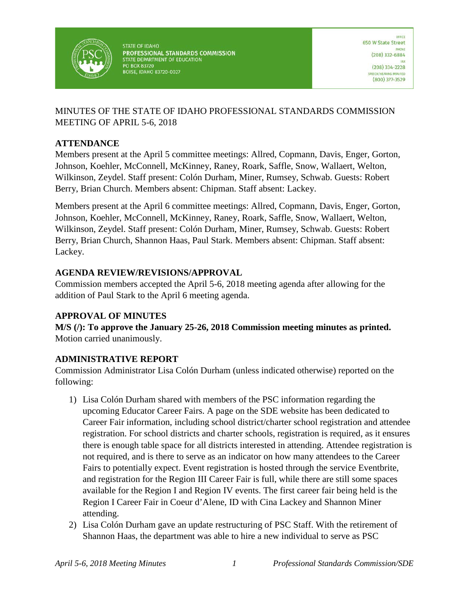

**STATE OF IDAHO** PROFESSIONAL STANDARDS COMMISSION STATE DEPARTMENT OF EDUCATION **PO BOX 83720 BOISE, IDAHO 83720-0027** 

## MINUTES OF THE STATE OF IDAHO PROFESSIONAL STANDARDS COMMISSION MEETING OF APRIL 5-6, 2018

### **ATTENDANCE**

Members present at the April 5 committee meetings: Allred, Copmann, Davis, Enger, Gorton, Johnson, Koehler, McConnell, McKinney, Raney, Roark, Saffle, Snow, Wallaert, Welton, Wilkinson, Zeydel. Staff present: Colón Durham, Miner, Rumsey, Schwab. Guests: Robert Berry, Brian Church. Members absent: Chipman. Staff absent: Lackey.

Members present at the April 6 committee meetings: Allred, Copmann, Davis, Enger, Gorton, Johnson, Koehler, McConnell, McKinney, Raney, Roark, Saffle, Snow, Wallaert, Welton, Wilkinson, Zeydel. Staff present: Colón Durham, Miner, Rumsey, Schwab. Guests: Robert Berry, Brian Church, Shannon Haas, Paul Stark. Members absent: Chipman. Staff absent: Lackey.

### **AGENDA REVIEW/REVISIONS/APPROVAL**

Commission members accepted the April 5-6, 2018 meeting agenda after allowing for the addition of Paul Stark to the April 6 meeting agenda.

### **APPROVAL OF MINUTES**

**M/S (/): To approve the January 25-26, 2018 Commission meeting minutes as printed.**  Motion carried unanimously.

## **ADMINISTRATIVE REPORT**

Commission Administrator Lisa Colón Durham (unless indicated otherwise) reported on the following:

- 1) Lisa Colón Durham shared with members of the PSC information regarding the upcoming Educator Career Fairs. A page on the SDE website has been dedicated to Career Fair information, including school district/charter school registration and attendee registration. For school districts and charter schools, registration is required, as it ensures there is enough table space for all districts interested in attending. Attendee registration is not required, and is there to serve as an indicator on how many attendees to the Career Fairs to potentially expect. Event registration is hosted through the service Eventbrite, and registration for the Region III Career Fair is full, while there are still some spaces available for the Region I and Region IV events. The first career fair being held is the Region I Career Fair in Coeur d'Alene, ID with Cina Lackey and Shannon Miner attending.
- 2) Lisa Colón Durham gave an update restructuring of PSC Staff. With the retirement of Shannon Haas, the department was able to hire a new individual to serve as PSC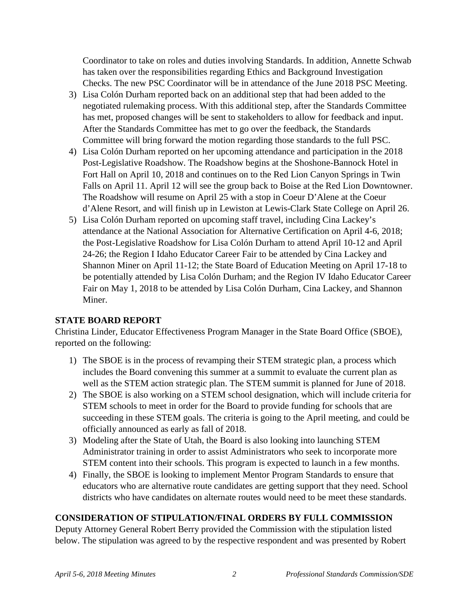Coordinator to take on roles and duties involving Standards. In addition, Annette Schwab has taken over the responsibilities regarding Ethics and Background Investigation Checks. The new PSC Coordinator will be in attendance of the June 2018 PSC Meeting.

- 3) Lisa Colón Durham reported back on an additional step that had been added to the negotiated rulemaking process. With this additional step, after the Standards Committee has met, proposed changes will be sent to stakeholders to allow for feedback and input. After the Standards Committee has met to go over the feedback, the Standards Committee will bring forward the motion regarding those standards to the full PSC.
- 4) Lisa Colón Durham reported on her upcoming attendance and participation in the 2018 Post-Legislative Roadshow. The Roadshow begins at the Shoshone-Bannock Hotel in Fort Hall on April 10, 2018 and continues on to the Red Lion Canyon Springs in Twin Falls on April 11. April 12 will see the group back to Boise at the Red Lion Downtowner. The Roadshow will resume on April 25 with a stop in Coeur D'Alene at the Coeur d'Alene Resort, and will finish up in Lewiston at Lewis-Clark State College on April 26.
- 5) Lisa Colón Durham reported on upcoming staff travel, including Cina Lackey's attendance at the National Association for Alternative Certification on April 4-6, 2018; the Post-Legislative Roadshow for Lisa Colón Durham to attend April 10-12 and April 24-26; the Region I Idaho Educator Career Fair to be attended by Cina Lackey and Shannon Miner on April 11-12; the State Board of Education Meeting on April 17-18 to be potentially attended by Lisa Colón Durham; and the Region IV Idaho Educator Career Fair on May 1, 2018 to be attended by Lisa Colón Durham, Cina Lackey, and Shannon Miner.

### **STATE BOARD REPORT**

Christina Linder, Educator Effectiveness Program Manager in the State Board Office (SBOE), reported on the following:

- 1) The SBOE is in the process of revamping their STEM strategic plan, a process which includes the Board convening this summer at a summit to evaluate the current plan as well as the STEM action strategic plan. The STEM summit is planned for June of 2018.
- 2) The SBOE is also working on a STEM school designation, which will include criteria for STEM schools to meet in order for the Board to provide funding for schools that are succeeding in these STEM goals. The criteria is going to the April meeting, and could be officially announced as early as fall of 2018.
- 3) Modeling after the State of Utah, the Board is also looking into launching STEM Administrator training in order to assist Administrators who seek to incorporate more STEM content into their schools. This program is expected to launch in a few months.
- 4) Finally, the SBOE is looking to implement Mentor Program Standards to ensure that educators who are alternative route candidates are getting support that they need. School districts who have candidates on alternate routes would need to be meet these standards.

## **CONSIDERATION OF STIPULATION/FINAL ORDERS BY FULL COMMISSION**

Deputy Attorney General Robert Berry provided the Commission with the stipulation listed below. The stipulation was agreed to by the respective respondent and was presented by Robert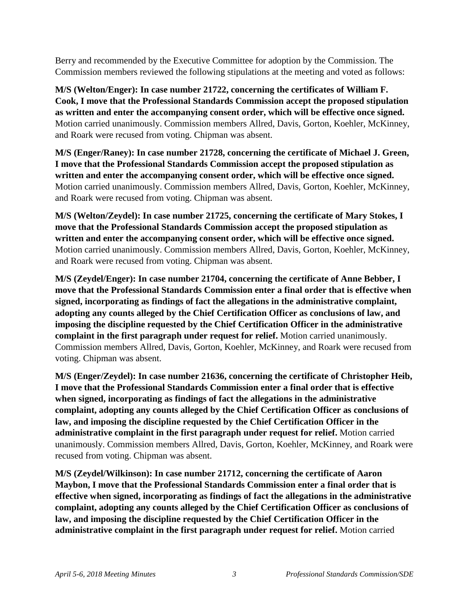Berry and recommended by the Executive Committee for adoption by the Commission. The Commission members reviewed the following stipulations at the meeting and voted as follows:

**M/S (Welton/Enger): In case number 21722, concerning the certificates of William F. Cook, I move that the Professional Standards Commission accept the proposed stipulation as written and enter the accompanying consent order, which will be effective once signed.**  Motion carried unanimously. Commission members Allred, Davis, Gorton, Koehler, McKinney, and Roark were recused from voting. Chipman was absent.

**M/S (Enger/Raney): In case number 21728, concerning the certificate of Michael J. Green, I move that the Professional Standards Commission accept the proposed stipulation as written and enter the accompanying consent order, which will be effective once signed.**  Motion carried unanimously. Commission members Allred, Davis, Gorton, Koehler, McKinney, and Roark were recused from voting. Chipman was absent.

**M/S (Welton/Zeydel): In case number 21725, concerning the certificate of Mary Stokes, I move that the Professional Standards Commission accept the proposed stipulation as written and enter the accompanying consent order, which will be effective once signed.** Motion carried unanimously. Commission members Allred, Davis, Gorton, Koehler, McKinney, and Roark were recused from voting. Chipman was absent.

**M/S (Zeydel/Enger): In case number 21704, concerning the certificate of Anne Bebber, I move that the Professional Standards Commission enter a final order that is effective when signed, incorporating as findings of fact the allegations in the administrative complaint, adopting any counts alleged by the Chief Certification Officer as conclusions of law, and imposing the discipline requested by the Chief Certification Officer in the administrative complaint in the first paragraph under request for relief.** Motion carried unanimously. Commission members Allred, Davis, Gorton, Koehler, McKinney, and Roark were recused from voting. Chipman was absent.

**M/S (Enger/Zeydel): In case number 21636, concerning the certificate of Christopher Heib, I move that the Professional Standards Commission enter a final order that is effective when signed, incorporating as findings of fact the allegations in the administrative complaint, adopting any counts alleged by the Chief Certification Officer as conclusions of law, and imposing the discipline requested by the Chief Certification Officer in the administrative complaint in the first paragraph under request for relief.** Motion carried unanimously. Commission members Allred, Davis, Gorton, Koehler, McKinney, and Roark were recused from voting. Chipman was absent.

**M/S (Zeydel/Wilkinson): In case number 21712, concerning the certificate of Aaron Maybon, I move that the Professional Standards Commission enter a final order that is effective when signed, incorporating as findings of fact the allegations in the administrative complaint, adopting any counts alleged by the Chief Certification Officer as conclusions of law, and imposing the discipline requested by the Chief Certification Officer in the administrative complaint in the first paragraph under request for relief.** Motion carried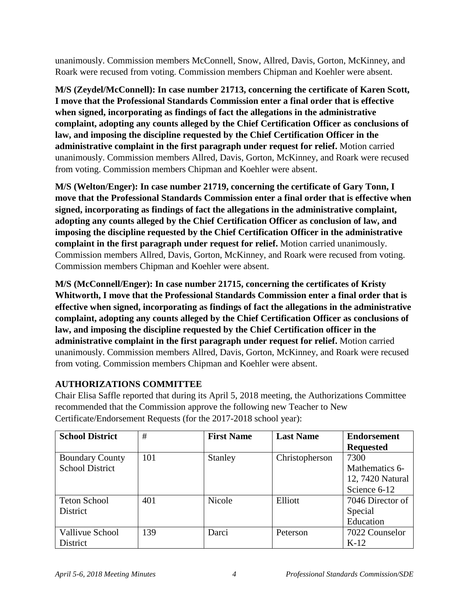unanimously. Commission members McConnell, Snow, Allred, Davis, Gorton, McKinney, and Roark were recused from voting. Commission members Chipman and Koehler were absent.

**M/S (Zeydel/McConnell): In case number 21713, concerning the certificate of Karen Scott, I move that the Professional Standards Commission enter a final order that is effective when signed, incorporating as findings of fact the allegations in the administrative complaint, adopting any counts alleged by the Chief Certification Officer as conclusions of law, and imposing the discipline requested by the Chief Certification Officer in the administrative complaint in the first paragraph under request for relief.** Motion carried unanimously. Commission members Allred, Davis, Gorton, McKinney, and Roark were recused from voting. Commission members Chipman and Koehler were absent.

**M/S (Welton/Enger): In case number 21719, concerning the certificate of Gary Tonn, I move that the Professional Standards Commission enter a final order that is effective when signed, incorporating as findings of fact the allegations in the administrative complaint, adopting any counts alleged by the Chief Certification Officer as conclusion of law, and imposing the discipline requested by the Chief Certification Officer in the administrative complaint in the first paragraph under request for relief.** Motion carried unanimously. Commission members Allred, Davis, Gorton, McKinney, and Roark were recused from voting. Commission members Chipman and Koehler were absent.

**M/S (McConnell/Enger): In case number 21715, concerning the certificates of Kristy Whitworth, I move that the Professional Standards Commission enter a final order that is effective when signed, incorporating as findings of fact the allegations in the administrative complaint, adopting any counts alleged by the Chief Certification Officer as conclusions of law, and imposing the discipline requested by the Chief Certification officer in the administrative complaint in the first paragraph under request for relief.** Motion carried unanimously. Commission members Allred, Davis, Gorton, McKinney, and Roark were recused from voting. Commission members Chipman and Koehler were absent.

## **AUTHORIZATIONS COMMITTEE**

Chair Elisa Saffle reported that during its April 5, 2018 meeting, the Authorizations Committee recommended that the Commission approve the following new Teacher to New Certificate/Endorsement Requests (for the 2017-2018 school year):

| <b>School District</b> | #   | <b>First Name</b> | <b>Last Name</b> | <b>Endorsement</b> |
|------------------------|-----|-------------------|------------------|--------------------|
|                        |     |                   |                  | <b>Requested</b>   |
| <b>Boundary County</b> | 101 | <b>Stanley</b>    | Christopherson   | 7300               |
| <b>School District</b> |     |                   |                  | Mathematics 6-     |
|                        |     |                   |                  | 12, 7420 Natural   |
|                        |     |                   |                  | Science 6-12       |
| <b>Teton School</b>    | 401 | Nicole            | Elliott          | 7046 Director of   |
| District               |     |                   |                  | Special            |
|                        |     |                   |                  | Education          |
| Vallivue School        | 139 | Darci             | Peterson         | 7022 Counselor     |
| District               |     |                   |                  | $K-12$             |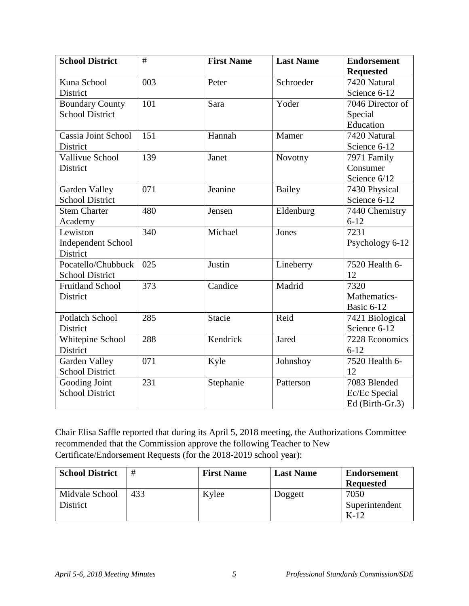| <b>School District</b>  | #                | <b>First Name</b> | <b>Last Name</b> | <b>Endorsement</b> |
|-------------------------|------------------|-------------------|------------------|--------------------|
|                         |                  |                   |                  | <b>Requested</b>   |
| Kuna School             | $\overline{003}$ | Peter             | Schroeder        | 7420 Natural       |
| District                |                  |                   |                  | Science 6-12       |
| <b>Boundary County</b>  | 101              | Sara              | Yoder            | 7046 Director of   |
| <b>School District</b>  |                  |                   |                  | Special            |
|                         |                  |                   |                  | Education          |
| Cassia Joint School     | 151              | Hannah            | Mamer            | 7420 Natural       |
| District                |                  |                   |                  | Science 6-12       |
| <b>Vallivue School</b>  | 139              | Janet             | Novotny          | 7971 Family        |
| District                |                  |                   |                  | Consumer           |
|                         |                  |                   |                  | Science 6/12       |
| Garden Valley           | 071              | Jeanine           | <b>Bailey</b>    | 7430 Physical      |
| <b>School District</b>  |                  |                   |                  | Science 6-12       |
| <b>Stem Charter</b>     | 480              | Jensen            | Eldenburg        | 7440 Chemistry     |
| Academy                 |                  |                   |                  | $6 - 12$           |
| Lewiston                | 340              | Michael           | Jones            | 7231               |
| Independent School      |                  |                   |                  | Psychology 6-12    |
| District                |                  |                   |                  |                    |
| Pocatello/Chubbuck      | 025              | Justin            | Lineberry        | 7520 Health 6-     |
| <b>School District</b>  |                  |                   |                  | 12                 |
| <b>Fruitland School</b> | 373              | Candice           | Madrid           | 7320               |
| District                |                  |                   |                  | Mathematics-       |
|                         |                  |                   |                  | Basic 6-12         |
| <b>Potlatch School</b>  | 285              | <b>Stacie</b>     | Reid             | 7421 Biological    |
| District                |                  |                   |                  | Science 6-12       |
| Whitepine School        | 288              | Kendrick          | Jared            | 7228 Economics     |
| District                |                  |                   |                  | $6 - 12$           |
| Garden Valley           | 071              | Kyle              | Johnshoy         | 7520 Health 6-     |
| <b>School District</b>  |                  |                   |                  | 12                 |
| Gooding Joint           | 231              | Stephanie         | Patterson        | 7083 Blended       |
| <b>School District</b>  |                  |                   |                  | Ec/Ec Special      |
|                         |                  |                   |                  | Ed (Birth-Gr.3)    |

Chair Elisa Saffle reported that during its April 5, 2018 meeting, the Authorizations Committee recommended that the Commission approve the following Teacher to New Certificate/Endorsement Requests (for the 2018-2019 school year):

| <b>School District</b> | #   | <b>First Name</b> | <b>Last Name</b> | <b>Endorsement</b> |
|------------------------|-----|-------------------|------------------|--------------------|
|                        |     |                   |                  | <b>Requested</b>   |
| Midvale School         | 433 | Kylee             | Doggett          | 7050               |
| District               |     |                   |                  | Superintendent     |
|                        |     |                   |                  | $K-12$             |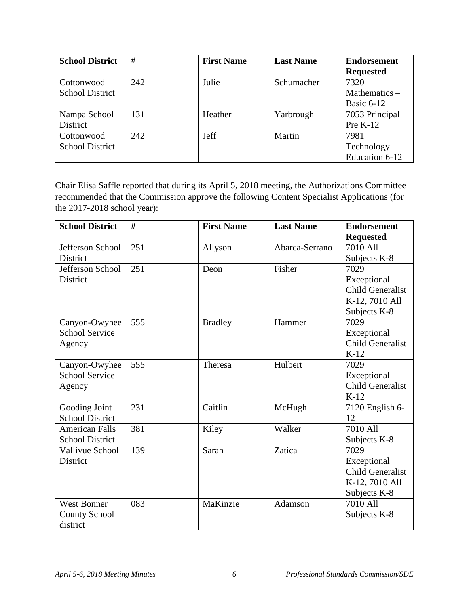| <b>School District</b> | #   | <b>First Name</b> | <b>Last Name</b> | <b>Endorsement</b> |
|------------------------|-----|-------------------|------------------|--------------------|
|                        |     |                   |                  | <b>Requested</b>   |
| Cottonwood             | 242 | Julie             | Schumacher       | 7320               |
| <b>School District</b> |     |                   |                  | Mathematics $-$    |
|                        |     |                   |                  | Basic 6-12         |
| Nampa School           | 131 | Heather           | Yarbrough        | 7053 Principal     |
| District               |     |                   |                  | Pre $K-12$         |
| Cottonwood             | 242 | Jeff              | Martin           | 7981               |
| <b>School District</b> |     |                   |                  | Technology         |
|                        |     |                   |                  | Education 6-12     |

Chair Elisa Saffle reported that during its April 5, 2018 meeting, the Authorizations Committee recommended that the Commission approve the following Content Specialist Applications (for the 2017-2018 school year):

| <b>School District</b> | #   | <b>First Name</b> | <b>Last Name</b> | <b>Endorsement</b>      |
|------------------------|-----|-------------------|------------------|-------------------------|
|                        |     |                   |                  | <b>Requested</b>        |
| Jefferson School       | 251 | Allyson           | Abarca-Serrano   | 7010 All                |
| District               |     |                   |                  | Subjects K-8            |
| Jefferson School       | 251 | Deon              | Fisher           | 7029                    |
| District               |     |                   |                  | Exceptional             |
|                        |     |                   |                  | <b>Child Generalist</b> |
|                        |     |                   |                  | K-12, 7010 All          |
|                        |     |                   |                  | Subjects K-8            |
| Canyon-Owyhee          | 555 | <b>Bradley</b>    | Hammer           | 7029                    |
| <b>School Service</b>  |     |                   |                  | Exceptional             |
| Agency                 |     |                   |                  | <b>Child Generalist</b> |
|                        |     |                   |                  | $K-12$                  |
| Canyon-Owyhee          | 555 | Theresa           | Hulbert          | 7029                    |
| <b>School Service</b>  |     |                   |                  | Exceptional             |
| Agency                 |     |                   |                  | <b>Child Generalist</b> |
|                        |     |                   |                  | $K-12$                  |
| Gooding Joint          | 231 | Caitlin           | McHugh           | 7120 English 6-         |
| <b>School District</b> |     |                   |                  | 12                      |
| <b>American Falls</b>  | 381 | Kiley             | Walker           | 7010 All                |
| <b>School District</b> |     |                   |                  | Subjects K-8            |
| Vallivue School        | 139 | Sarah             | Zatica           | 7029                    |
| <b>District</b>        |     |                   |                  | Exceptional             |
|                        |     |                   |                  | <b>Child Generalist</b> |
|                        |     |                   |                  | K-12, 7010 All          |
|                        |     |                   |                  | Subjects K-8            |
| <b>West Bonner</b>     | 083 | MaKinzie          | Adamson          | 7010 All                |
| <b>County School</b>   |     |                   |                  | Subjects K-8            |
| district               |     |                   |                  |                         |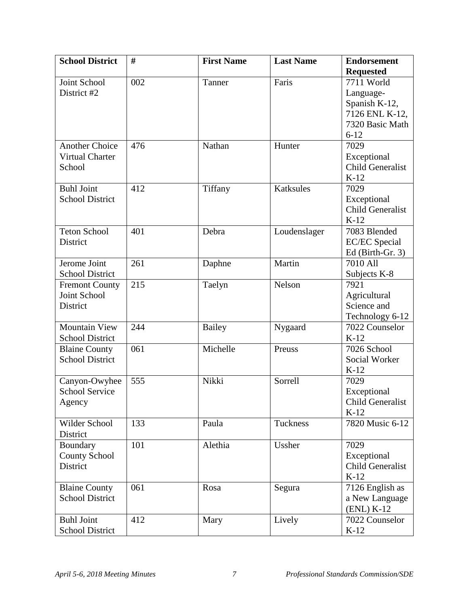| <b>School District</b> | #   | <b>First Name</b> | <b>Last Name</b> | <b>Endorsement</b>                |
|------------------------|-----|-------------------|------------------|-----------------------------------|
|                        |     |                   |                  | <b>Requested</b>                  |
| Joint School           | 002 | Tanner            | Faris            | 7711 World                        |
| District #2            |     |                   |                  | Language-                         |
|                        |     |                   |                  | Spanish K-12,                     |
|                        |     |                   |                  | 7126 ENL K-12,                    |
|                        |     |                   |                  | 7320 Basic Math                   |
|                        |     |                   |                  | $6 - 12$                          |
| <b>Another Choice</b>  | 476 | Nathan            | Hunter           | 7029                              |
| Virtual Charter        |     |                   |                  | Exceptional                       |
| School                 |     |                   |                  | <b>Child Generalist</b>           |
|                        |     |                   |                  | $K-12$                            |
| <b>Buhl Joint</b>      | 412 | Tiffany           | Katksules        | 7029                              |
| <b>School District</b> |     |                   |                  | Exceptional                       |
|                        |     |                   |                  | <b>Child Generalist</b>           |
|                        |     |                   |                  | $K-12$                            |
| <b>Teton School</b>    | 401 | Debra             | Loudenslager     | 7083 Blended                      |
| District               |     |                   |                  | <b>EC/EC</b> Special              |
|                        |     |                   |                  | Ed (Birth-Gr. 3)                  |
| Jerome Joint           | 261 | Daphne            | Martin           | 7010 All                          |
| <b>School District</b> |     |                   |                  | Subjects K-8                      |
| <b>Fremont County</b>  | 215 | Taelyn            | Nelson           | 7921                              |
| Joint School           |     |                   |                  | Agricultural                      |
| District               |     |                   |                  | Science and                       |
| <b>Mountain View</b>   | 244 | <b>Bailey</b>     | Nygaard          | Technology 6-12<br>7022 Counselor |
| <b>School District</b> |     |                   |                  | $K-12$                            |
| <b>Blaine County</b>   | 061 | Michelle          | Preuss           | 7026 School                       |
| <b>School District</b> |     |                   |                  | Social Worker                     |
|                        |     |                   |                  | $K-12$                            |
| Canyon-Owyhee          | 555 | Nikki             | Sorrell          | 7029                              |
| <b>School Service</b>  |     |                   |                  | Exceptional                       |
| Agency                 |     |                   |                  | <b>Child Generalist</b>           |
|                        |     |                   |                  | $K-12$                            |
| Wilder School          | 133 | Paula             | Tuckness         | 7820 Music 6-12                   |
| District               |     |                   |                  |                                   |
| Boundary               | 101 | Alethia           | Ussher           | 7029                              |
| <b>County School</b>   |     |                   |                  | Exceptional                       |
| District               |     |                   |                  | <b>Child Generalist</b>           |
|                        |     |                   |                  | $K-12$                            |
| <b>Blaine County</b>   | 061 | Rosa              | Segura           | 7126 English as                   |
| <b>School District</b> |     |                   |                  | a New Language                    |
|                        |     |                   |                  | $(ENL)$ K-12                      |
| <b>Buhl Joint</b>      | 412 | Mary              | Lively           | 7022 Counselor                    |
| <b>School District</b> |     |                   |                  | $K-12$                            |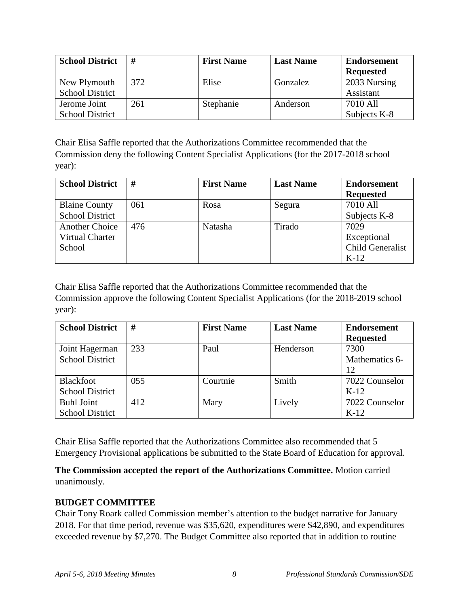| <b>School District</b> | #   | <b>First Name</b> | <b>Last Name</b> | <b>Endorsement</b><br><b>Requested</b> |
|------------------------|-----|-------------------|------------------|----------------------------------------|
| New Plymouth           | 372 | Elise             | Gonzalez         | 2033 Nursing                           |
| <b>School District</b> |     |                   |                  | Assistant                              |
| Jerome Joint           | 261 | Stephanie         | Anderson         | 7010 All                               |
| <b>School District</b> |     |                   |                  | Subjects K-8                           |

Chair Elisa Saffle reported that the Authorizations Committee recommended that the Commission deny the following Content Specialist Applications (for the 2017-2018 school year):

| <b>School District</b> | #   | <b>First Name</b> | <b>Last Name</b> | <b>Endorsement</b><br><b>Requested</b> |
|------------------------|-----|-------------------|------------------|----------------------------------------|
| <b>Blaine County</b>   | 061 | Rosa              | Segura           | 7010 All                               |
| <b>School District</b> |     |                   |                  | Subjects K-8                           |
| <b>Another Choice</b>  | 476 | Natasha           | Tirado           | 7029                                   |
| Virtual Charter        |     |                   |                  | Exceptional                            |
| School                 |     |                   |                  | Child Generalist                       |
|                        |     |                   |                  | $K-12$                                 |

Chair Elisa Saffle reported that the Authorizations Committee recommended that the Commission approve the following Content Specialist Applications (for the 2018-2019 school year):

| <b>School District</b> | #   | <b>First Name</b> | <b>Last Name</b> | <b>Endorsement</b><br><b>Requested</b> |
|------------------------|-----|-------------------|------------------|----------------------------------------|
| Joint Hagerman         | 233 | Paul              | Henderson        | 7300                                   |
| <b>School District</b> |     |                   |                  | Mathematics 6-                         |
|                        |     |                   |                  | 12                                     |
| Blackfoot              | 055 | Courtnie          | Smith            | 7022 Counselor                         |
| <b>School District</b> |     |                   |                  | $K-12$                                 |
| <b>Buhl Joint</b>      | 412 | Mary              | Lively           | 7022 Counselor                         |
| <b>School District</b> |     |                   |                  | $K-12$                                 |

Chair Elisa Saffle reported that the Authorizations Committee also recommended that 5 Emergency Provisional applications be submitted to the State Board of Education for approval.

**The Commission accepted the report of the Authorizations Committee.** Motion carried unanimously.

### **BUDGET COMMITTEE**

Chair Tony Roark called Commission member's attention to the budget narrative for January 2018. For that time period, revenue was \$35,620, expenditures were \$42,890, and expenditures exceeded revenue by \$7,270. The Budget Committee also reported that in addition to routine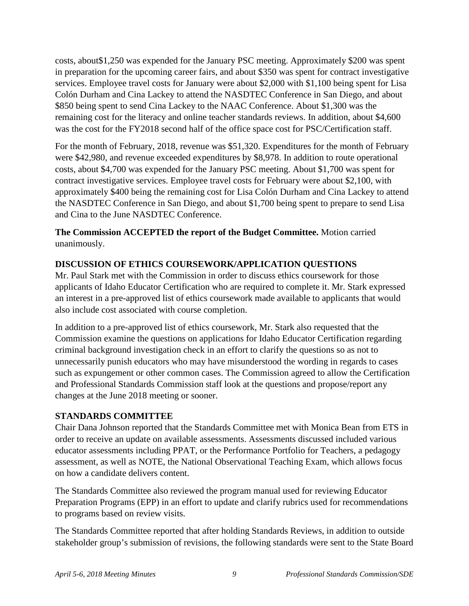costs, about\$1,250 was expended for the January PSC meeting. Approximately \$200 was spent in preparation for the upcoming career fairs, and about \$350 was spent for contract investigative services. Employee travel costs for January were about \$2,000 with \$1,100 being spent for Lisa Colón Durham and Cina Lackey to attend the NASDTEC Conference in San Diego, and about \$850 being spent to send Cina Lackey to the NAAC Conference. About \$1,300 was the remaining cost for the literacy and online teacher standards reviews. In addition, about \$4,600 was the cost for the FY2018 second half of the office space cost for PSC/Certification staff.

For the month of February, 2018, revenue was \$51,320. Expenditures for the month of February were \$42,980, and revenue exceeded expenditures by \$8,978. In addition to route operational costs, about \$4,700 was expended for the January PSC meeting. About \$1,700 was spent for contract investigative services. Employee travel costs for February were about \$2,100, with approximately \$400 being the remaining cost for Lisa Colón Durham and Cina Lackey to attend the NASDTEC Conference in San Diego, and about \$1,700 being spent to prepare to send Lisa and Cina to the June NASDTEC Conference.

**The Commission ACCEPTED the report of the Budget Committee.** Motion carried unanimously.

### **DISCUSSION OF ETHICS COURSEWORK/APPLICATION QUESTIONS**

Mr. Paul Stark met with the Commission in order to discuss ethics coursework for those applicants of Idaho Educator Certification who are required to complete it. Mr. Stark expressed an interest in a pre-approved list of ethics coursework made available to applicants that would also include cost associated with course completion.

In addition to a pre-approved list of ethics coursework, Mr. Stark also requested that the Commission examine the questions on applications for Idaho Educator Certification regarding criminal background investigation check in an effort to clarify the questions so as not to unnecessarily punish educators who may have misunderstood the wording in regards to cases such as expungement or other common cases. The Commission agreed to allow the Certification and Professional Standards Commission staff look at the questions and propose/report any changes at the June 2018 meeting or sooner.

### **STANDARDS COMMITTEE**

Chair Dana Johnson reported that the Standards Committee met with Monica Bean from ETS in order to receive an update on available assessments. Assessments discussed included various educator assessments including PPAT, or the Performance Portfolio for Teachers, a pedagogy assessment, as well as NOTE, the National Observational Teaching Exam, which allows focus on how a candidate delivers content.

The Standards Committee also reviewed the program manual used for reviewing Educator Preparation Programs (EPP) in an effort to update and clarify rubrics used for recommendations to programs based on review visits.

The Standards Committee reported that after holding Standards Reviews, in addition to outside stakeholder group's submission of revisions, the following standards were sent to the State Board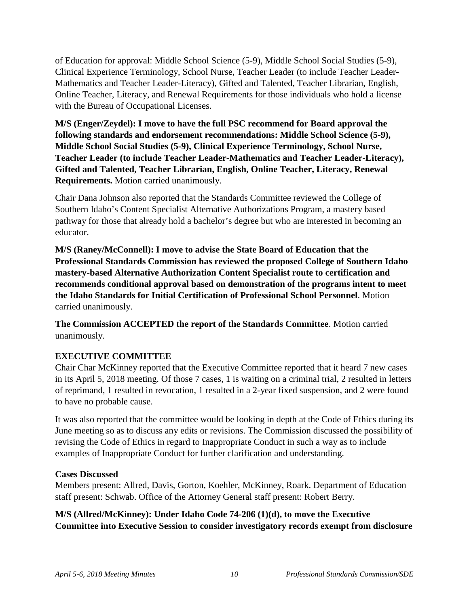of Education for approval: Middle School Science (5-9), Middle School Social Studies (5-9), Clinical Experience Terminology, School Nurse, Teacher Leader (to include Teacher Leader-Mathematics and Teacher Leader-Literacy), Gifted and Talented, Teacher Librarian, English, Online Teacher, Literacy, and Renewal Requirements for those individuals who hold a license with the Bureau of Occupational Licenses.

**M/S (Enger/Zeydel): I move to have the full PSC recommend for Board approval the following standards and endorsement recommendations: Middle School Science (5-9), Middle School Social Studies (5-9), Clinical Experience Terminology, School Nurse, Teacher Leader (to include Teacher Leader-Mathematics and Teacher Leader-Literacy), Gifted and Talented, Teacher Librarian, English, Online Teacher, Literacy, Renewal Requirements.** Motion carried unanimously.

Chair Dana Johnson also reported that the Standards Committee reviewed the College of Southern Idaho's Content Specialist Alternative Authorizations Program, a mastery based pathway for those that already hold a bachelor's degree but who are interested in becoming an educator.

**M/S (Raney/McConnell): I move to advise the State Board of Education that the Professional Standards Commission has reviewed the proposed College of Southern Idaho mastery-based Alternative Authorization Content Specialist route to certification and recommends conditional approval based on demonstration of the programs intent to meet the Idaho Standards for Initial Certification of Professional School Personnel**. Motion carried unanimously.

**The Commission ACCEPTED the report of the Standards Committee**. Motion carried unanimously.

## **EXECUTIVE COMMITTEE**

Chair Char McKinney reported that the Executive Committee reported that it heard 7 new cases in its April 5, 2018 meeting. Of those 7 cases, 1 is waiting on a criminal trial, 2 resulted in letters of reprimand, 1 resulted in revocation, 1 resulted in a 2-year fixed suspension, and 2 were found to have no probable cause.

It was also reported that the committee would be looking in depth at the Code of Ethics during its June meeting so as to discuss any edits or revisions. The Commission discussed the possibility of revising the Code of Ethics in regard to Inappropriate Conduct in such a way as to include examples of Inappropriate Conduct for further clarification and understanding.

### **Cases Discussed**

Members present: Allred, Davis, Gorton, Koehler, McKinney, Roark. Department of Education staff present: Schwab. Office of the Attorney General staff present: Robert Berry.

**M/S (Allred/McKinney): Under Idaho Code 74-206 (1)(d), to move the Executive Committee into Executive Session to consider investigatory records exempt from disclosure**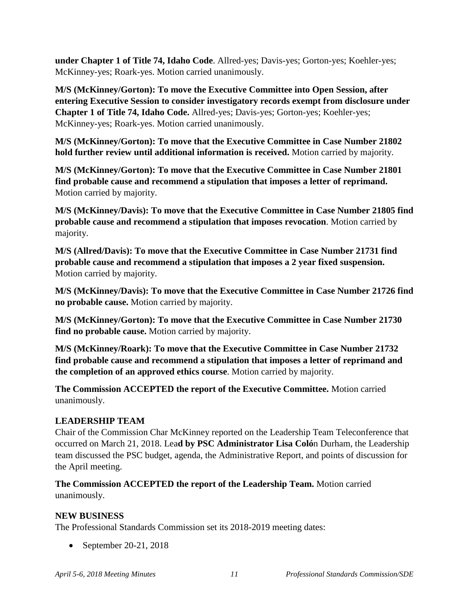**under Chapter 1 of Title 74, Idaho Code**. Allred-yes; Davis-yes; Gorton-yes; Koehler-yes; McKinney-yes; Roark-yes. Motion carried unanimously.

**M/S (McKinney/Gorton): To move the Executive Committee into Open Session, after entering Executive Session to consider investigatory records exempt from disclosure under Chapter 1 of Title 74, Idaho Code.** Allred-yes; Davis-yes; Gorton-yes; Koehler-yes; McKinney-yes; Roark-yes. Motion carried unanimously.

**M/S (McKinney/Gorton): To move that the Executive Committee in Case Number 21802 hold further review until additional information is received.** Motion carried by majority.

**M/S (McKinney/Gorton): To move that the Executive Committee in Case Number 21801 find probable cause and recommend a stipulation that imposes a letter of reprimand.** Motion carried by majority.

**M/S (McKinney/Davis): To move that the Executive Committee in Case Number 21805 find probable cause and recommend a stipulation that imposes revocation**. Motion carried by majority.

**M/S (Allred/Davis): To move that the Executive Committee in Case Number 21731 find probable cause and recommend a stipulation that imposes a 2 year fixed suspension.** Motion carried by majority.

**M/S (McKinney/Davis): To move that the Executive Committee in Case Number 21726 find no probable cause.** Motion carried by majority.

**M/S (McKinney/Gorton): To move that the Executive Committee in Case Number 21730 find no probable cause.** Motion carried by majority.

**M/S (McKinney/Roark): To move that the Executive Committee in Case Number 21732 find probable cause and recommend a stipulation that imposes a letter of reprimand and the completion of an approved ethics course**. Motion carried by majority.

**The Commission ACCEPTED the report of the Executive Committee.** Motion carried unanimously.

## **LEADERSHIP TEAM**

Chair of the Commission Char McKinney reported on the Leadership Team Teleconference that occurred on March 21, 2018. Lea**d by PSC Administrator Lisa Coló**n Durham, the Leadership team discussed the PSC budget, agenda, the Administrative Report, and points of discussion for the April meeting.

**The Commission ACCEPTED the report of the Leadership Team.** Motion carried unanimously.

## **NEW BUSINESS**

The Professional Standards Commission set its 2018-2019 meeting dates:

• September 20-21, 2018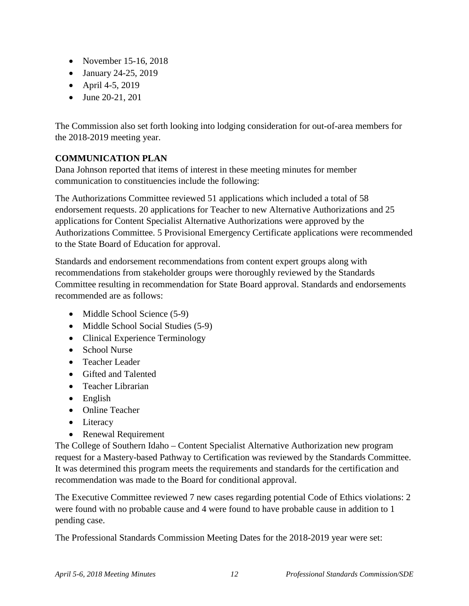- November 15-16, 2018
- January 24-25, 2019
- April 4-5, 2019
- June 20-21, 201

The Commission also set forth looking into lodging consideration for out-of-area members for the 2018-2019 meeting year.

# **COMMUNICATION PLAN**

Dana Johnson reported that items of interest in these meeting minutes for member communication to constituencies include the following:

The Authorizations Committee reviewed 51 applications which included a total of 58 endorsement requests. 20 applications for Teacher to new Alternative Authorizations and 25 applications for Content Specialist Alternative Authorizations were approved by the Authorizations Committee. 5 Provisional Emergency Certificate applications were recommended to the State Board of Education for approval.

Standards and endorsement recommendations from content expert groups along with recommendations from stakeholder groups were thoroughly reviewed by the Standards Committee resulting in recommendation for State Board approval. Standards and endorsements recommended are as follows:

- Middle School Science (5-9)
- Middle School Social Studies (5-9)
- Clinical Experience Terminology
- School Nurse
- Teacher Leader
- Gifted and Talented
- Teacher Librarian
- English
- Online Teacher
- Literacy
- Renewal Requirement

The College of Southern Idaho – Content Specialist Alternative Authorization new program request for a Mastery-based Pathway to Certification was reviewed by the Standards Committee. It was determined this program meets the requirements and standards for the certification and recommendation was made to the Board for conditional approval.

The Executive Committee reviewed 7 new cases regarding potential Code of Ethics violations: 2 were found with no probable cause and 4 were found to have probable cause in addition to 1 pending case.

The Professional Standards Commission Meeting Dates for the 2018-2019 year were set: